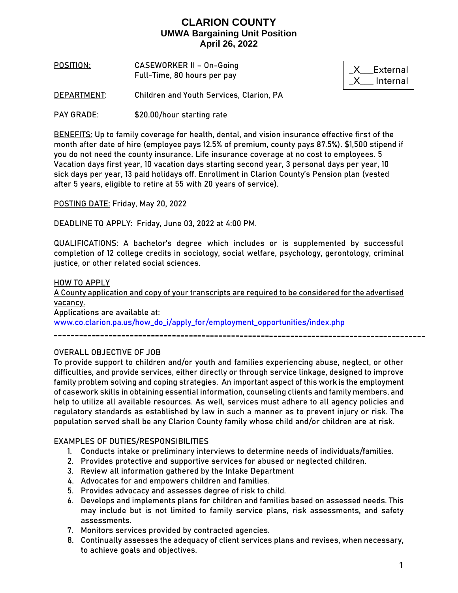**POSITION**: **CASEWORKER II – On-Going**  Full-Time, 80 hours per pay

\_X\_\_\_External \_X\_\_\_ Internal

**DEPARTMENT**: Children and Youth Services, Clarion, PA

PAY GRADE: \$20.00/hour starting rate

**BENEFITS:** Up to family coverage for health, dental, and vision insurance effective first of the month after date of hire (employee pays 12.5% of premium, county pays 87.5%). \$1,500 stipend if you do not need the county insurance. Life insurance coverage at no cost to employees. 5 Vacation days first year, 10 vacation days starting second year, 3 personal days per year, 10 sick days per year, 13 paid holidays off. Enrollment in Clarion County's Pension plan (vested after 5 years, eligible to retire at 55 with 20 years of service).

**POSTING DATE:** Friday, May 20, 2022

**DEADLINE TO APPLY:** Friday, June 03, 2022 at 4:00 PM.

**QUALIFICATIONS:** A bachelor's degree which includes or is supplemented by successful completion of 12 college credits in sociology, social welfare, psychology, gerontology, criminal justice, or other related social sciences.

**HOW TO APPLY**

A County application and copy of your transcripts are required to be considered for the advertised vacancy.

Applications are available at:

[www.co.clarion.pa.us/how\\_do\\_i/apply\\_for/employment\\_opportunities/index.php](http://www.co.clarion.pa.us/how_do_i/apply_for/employment_opportunities/index.php)

#### **OVERALL OBJECTIVE OF JOB**

To provide support to children and/or youth and families experiencing abuse, neglect, or other difficulties, and provide services, either directly or through service linkage, designed to improve family problem solving and coping strategies. An important aspect of this work is the employment of casework skills in obtaining essential information, counseling clients and family members, and help to utilize all available resources. As well, services must adhere to all agency policies and regulatory standards as established by law in such a manner as to prevent injury or risk. The population served shall be any Clarion County family whose child and/or children are at risk.

#### **EXAMPLES OF DUTIES/RESPONSIBILITIES**

- 1. Conducts intake or preliminary interviews to determine needs of individuals/families.
- 2. Provides protective and supportive services for abused or neglected children.
- 3. Review all information gathered by the Intake Department
- 4. Advocates for and empowers children and families.
- 5. Provides advocacy and assesses degree of risk to child.
- 6. Develops and implements plans for children and families based on assessed needs. This may include but is not limited to family service plans, risk assessments, and safety assessments.
- 7. Monitors services provided by contracted agencies.
- 8. Continually assesses the adequacy of client services plans and revises, when necessary, to achieve goals and objectives.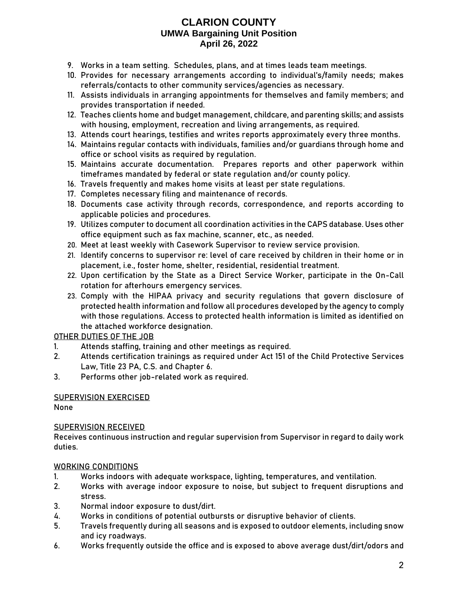- 9. Works in a team setting. Schedules, plans, and at times leads team meetings.
- 10. Provides for necessary arrangements according to individual's/family needs; makes referrals/contacts to other community services/agencies as necessary.
- 11. Assists individuals in arranging appointments for themselves and family members; and provides transportation if needed.
- 12. Teaches clients home and budget management, childcare, and parenting skills; and assists with housing, employment, recreation and living arrangements, as required.
- 13. Attends court hearings, testifies and writes reports approximately every three months.
- 14. Maintains regular contacts with individuals, families and/or guardians through home and office or school visits as required by regulation.
- 15. Maintains accurate documentation. Prepares reports and other paperwork within timeframes mandated by federal or state regulation and/or county policy.
- 16. Travels frequently and makes home visits at least per state regulations.
- 17. Completes necessary filing and maintenance of records.
- 18. Documents case activity through records, correspondence, and reports according to applicable policies and procedures.
- 19. Utilizes computer to document all coordination activities in the CAPS database. Uses other office equipment such as fax machine, scanner, etc., as needed.
- 20. Meet at least weekly with Casework Supervisor to review service provision.
- 21. Identify concerns to supervisor re: level of care received by children in their home or in placement, i.e., foster home, shelter, residential, residential treatment.
- 22. Upon certification by the State as a Direct Service Worker, participate in the On-Call rotation for afterhours emergency services.
- 23. Comply with the HIPAA privacy and security regulations that govern disclosure of protected health information and follow all procedures developed by the agency to comply with those regulations. Access to protected health information is limited as identified on the attached workforce designation.

### **OTHER DUTIES OF THE JOB**

- 1. Attends staffing, training and other meetings as required.
- 2. Attends certification trainings as required under Act 151 of the Child Protective Services Law, Title 23 PA, C.S. and Chapter 6.
- 3. Performs other job-related work as required.

### **SUPERVISION EXERCISED**

None

#### **SUPERVISION RECEIVED**

Receives continuous instruction and regular supervision from Supervisor in regard to daily work duties.

#### **WORKING CONDITIONS**

- 1. Works indoors with adequate workspace, lighting, temperatures, and ventilation.
- 2. Works with average indoor exposure to noise, but subject to frequent disruptions and stress.
- 3. Normal indoor exposure to dust/dirt.
- 4. Works in conditions of potential outbursts or disruptive behavior of clients.
- 5. Travels frequently during all seasons and is exposed to outdoor elements, including snow and icy roadways.
- 6. Works frequently outside the office and is exposed to above average dust/dirt/odors and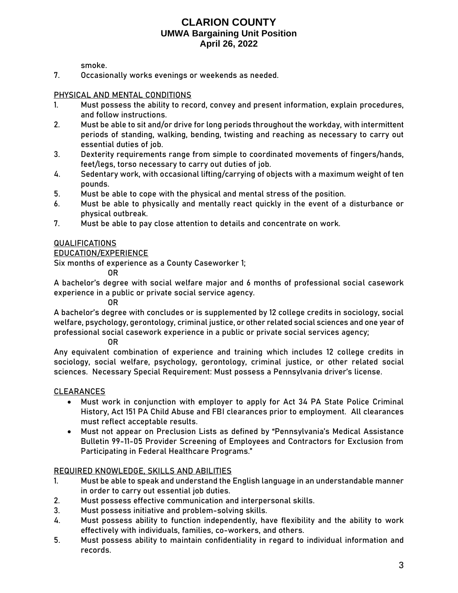smoke.

7. Occasionally works evenings or weekends as needed.

#### **PHYSICAL AND MENTAL CONDITIONS**

- 1. Must possess the ability to record, convey and present information, explain procedures, and follow instructions.
- 2. Must be able to sit and/or drive for long periods throughout the workday, with intermittent periods of standing, walking, bending, twisting and reaching as necessary to carry out essential duties of job.
- 3. Dexterity requirements range from simple to coordinated movements of fingers/hands, feet/legs, torso necessary to carry out duties of job.
- 4. Sedentary work, with occasional lifting/carrying of objects with a maximum weight of ten pounds.
- 5. Must be able to cope with the physical and mental stress of the position.
- 6. Must be able to physically and mentally react quickly in the event of a disturbance or physical outbreak.
- 7. Must be able to pay close attention to details and concentrate on work.

#### **QUALIFICATIONS**

#### EDUCATION/EXPERIENCE

Six months of experience as a County Caseworker 1;

OR

A bachelor's degree with social welfare major and 6 months of professional social casework experience in a public or private social service agency.

OR

A bachelor's degree with concludes or is supplemented by 12 college credits in sociology, social welfare, psychology, gerontology, criminal justice, or other related social sciences and one year of professional social casework experience in a public or private social services agency;

OR

Any equivalent combination of experience and training which includes 12 college credits in sociology, social welfare, psychology, gerontology, criminal justice, or other related social sciences. Necessary Special Requirement: Must possess a Pennsylvania driver's license.

#### CLEARANCES

- Must work in conjunction with employer to apply for Act 34 PA State Police Criminal History, Act 151 PA Child Abuse and FBI clearances prior to employment. All clearances must reflect acceptable results.
- Must not appear on Preclusion Lists as defined by "Pennsylvania's Medical Assistance Bulletin 99-11-05 Provider Screening of Employees and Contractors for Exclusion from Participating in Federal Healthcare Programs."

#### **REQUIRED KNOWLEDGE, SKILLS AND ABILITIES**

- 1. Must be able to speak and understand the English language in an understandable manner in order to carry out essential job duties.
- 2. Must possess effective communication and interpersonal skills.
- 3. Must possess initiative and problem-solving skills.
- 4. Must possess ability to function independently, have flexibility and the ability to work effectively with individuals, families, co-workers, and others.
- 5. Must possess ability to maintain confidentiality in regard to individual information and records.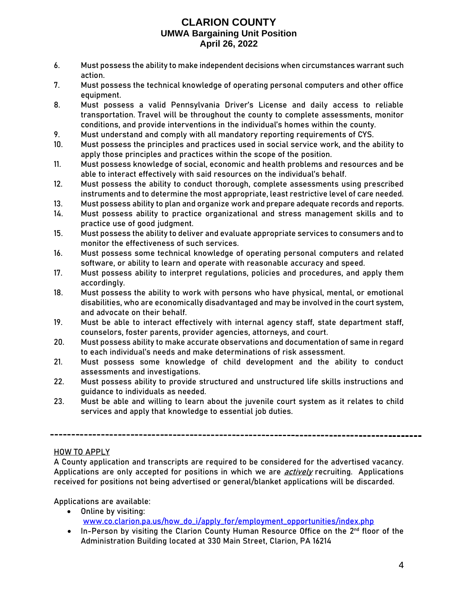- 6. Must possess the ability to make independent decisions when circumstances warrant such action.
- 7. Must possess the technical knowledge of operating personal computers and other office equipment.
- 8. Must possess a valid Pennsylvania Driver's License and daily access to reliable transportation. Travel will be throughout the county to complete assessments, monitor conditions, and provide interventions in the individual's homes within the county.
- 9. Must understand and comply with all mandatory reporting requirements of CYS.
- 10. Must possess the principles and practices used in social service work, and the ability to apply those principles and practices within the scope of the position.
- 11. Must possess knowledge of social, economic and health problems and resources and be able to interact effectively with said resources on the individual's behalf.
- 12. Must possess the ability to conduct thorough, complete assessments using prescribed instruments and to determine the most appropriate, least restrictive level of care needed.
- 13. Must possess ability to plan and organize work and prepare adequate records and reports.
- 14. Must possess ability to practice organizational and stress management skills and to practice use of good judgment.
- 15. Must possess the ability to deliver and evaluate appropriate services to consumers and to monitor the effectiveness of such services.
- 16. Must possess some technical knowledge of operating personal computers and related software, or ability to learn and operate with reasonable accuracy and speed.
- 17. Must possess ability to interpret regulations, policies and procedures, and apply them accordingly.
- 18. Must possess the ability to work with persons who have physical, mental, or emotional disabilities, who are economically disadvantaged and may be involved in the court system, and advocate on their behalf.
- 19. Must be able to interact effectively with internal agency staff, state department staff, counselors, foster parents, provider agencies, attorneys, and court.
- 20. Must possess ability to make accurate observations and documentation of same in regard to each individual's needs and make determinations of risk assessment.
- 21. Must possess some knowledge of child development and the ability to conduct assessments and investigations.
- 22. Must possess ability to provide structured and unstructured life skills instructions and guidance to individuals as needed.
- 23. Must be able and willing to learn about the juvenile court system as it relates to child services and apply that knowledge to essential job duties.

### **HOW TO APPLY**

A County application and transcripts are required to be considered for the advertised vacancy. Applications are only accepted for positions in which we are *actively* recruiting. Applications received for positions not being advertised or general/blanket applications will be discarded.

Applications are available:

- Online by visiting: [www.co.clarion.pa.us/how\\_do\\_i/apply\\_for/employment\\_opportunities/index.php](http://www.co.clarion.pa.us/how_do_i/apply_for/employment_opportunities/index.php)
- In-Person by visiting the Clarion County Human Resource Office on the 2<sup>nd</sup> floor of the Administration Building located at 330 Main Street, Clarion, PA 16214